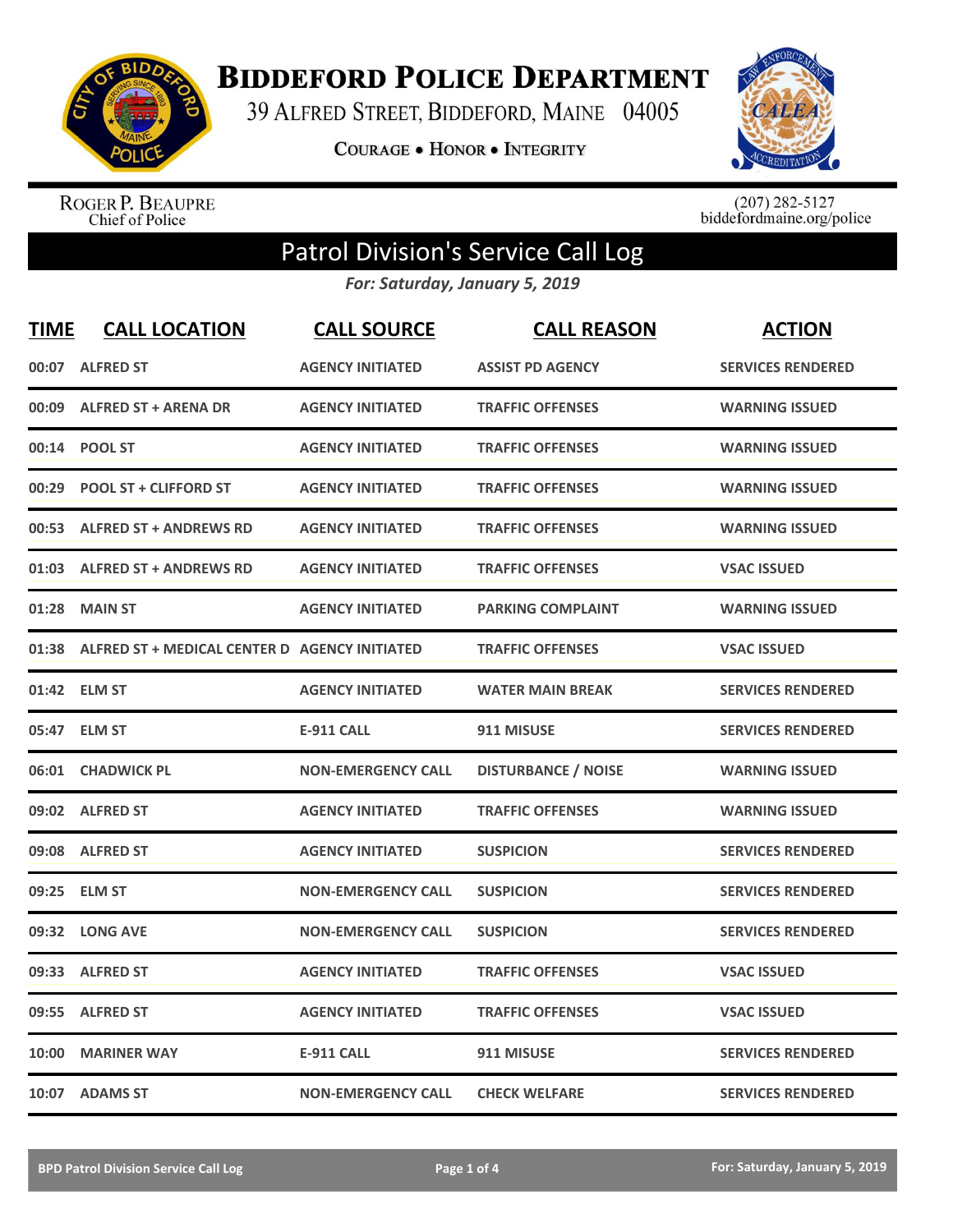

**BIDDEFORD POLICE DEPARTMENT** 

39 ALFRED STREET, BIDDEFORD, MAINE 04005

**COURAGE . HONOR . INTEGRITY** 



ROGER P. BEAUPRE<br>Chief of Police

 $(207)$  282-5127<br>biddefordmaine.org/police

## Patrol Division's Service Call Log

*For: Saturday, January 5, 2019*

| <b>TIME</b> | <b>CALL LOCATION</b>                          | <b>CALL SOURCE</b>        | <b>CALL REASON</b>         | <b>ACTION</b>            |
|-------------|-----------------------------------------------|---------------------------|----------------------------|--------------------------|
|             | 00:07 ALFRED ST                               | <b>AGENCY INITIATED</b>   | <b>ASSIST PD AGENCY</b>    | <b>SERVICES RENDERED</b> |
| 00:09       | <b>ALFRED ST + ARENA DR</b>                   | <b>AGENCY INITIATED</b>   | <b>TRAFFIC OFFENSES</b>    | <b>WARNING ISSUED</b>    |
| 00:14       | <b>POOL ST</b>                                | <b>AGENCY INITIATED</b>   | <b>TRAFFIC OFFENSES</b>    | <b>WARNING ISSUED</b>    |
| 00:29       | <b>POOL ST + CLIFFORD ST</b>                  | <b>AGENCY INITIATED</b>   | <b>TRAFFIC OFFENSES</b>    | <b>WARNING ISSUED</b>    |
| 00:53       | <b>ALFRED ST + ANDREWS RD</b>                 | <b>AGENCY INITIATED</b>   | <b>TRAFFIC OFFENSES</b>    | <b>WARNING ISSUED</b>    |
| 01:03       | <b>ALFRED ST + ANDREWS RD</b>                 | <b>AGENCY INITIATED</b>   | <b>TRAFFIC OFFENSES</b>    | <b>VSAC ISSUED</b>       |
| 01:28       | <b>MAIN ST</b>                                | <b>AGENCY INITIATED</b>   | <b>PARKING COMPLAINT</b>   | <b>WARNING ISSUED</b>    |
| 01:38       | ALFRED ST + MEDICAL CENTER D AGENCY INITIATED |                           | <b>TRAFFIC OFFENSES</b>    | <b>VSAC ISSUED</b>       |
| 01:42       | <b>ELM ST</b>                                 | <b>AGENCY INITIATED</b>   | <b>WATER MAIN BREAK</b>    | <b>SERVICES RENDERED</b> |
| 05:47       | <b>ELM ST</b>                                 | <b>E-911 CALL</b>         | 911 MISUSE                 | <b>SERVICES RENDERED</b> |
|             | 06:01 CHADWICK PL                             | <b>NON-EMERGENCY CALL</b> | <b>DISTURBANCE / NOISE</b> | <b>WARNING ISSUED</b>    |
|             | 09:02 ALFRED ST                               | <b>AGENCY INITIATED</b>   | <b>TRAFFIC OFFENSES</b>    | <b>WARNING ISSUED</b>    |
|             | 09:08 ALFRED ST                               | <b>AGENCY INITIATED</b>   | <b>SUSPICION</b>           | <b>SERVICES RENDERED</b> |
| 09:25       | <b>ELM ST</b>                                 | <b>NON-EMERGENCY CALL</b> | <b>SUSPICION</b>           | <b>SERVICES RENDERED</b> |
| 09:32       | <b>LONG AVE</b>                               | <b>NON-EMERGENCY CALL</b> | <b>SUSPICION</b>           | <b>SERVICES RENDERED</b> |
| 09:33       | <b>ALFRED ST</b>                              | <b>AGENCY INITIATED</b>   | <b>TRAFFIC OFFENSES</b>    | <b>VSAC ISSUED</b>       |
| 09:55       | <b>ALFRED ST</b>                              | <b>AGENCY INITIATED</b>   | <b>TRAFFIC OFFENSES</b>    | <b>VSAC ISSUED</b>       |
| 10:00       | <b>MARINER WAY</b>                            | <b>E-911 CALL</b>         | 911 MISUSE                 | <b>SERVICES RENDERED</b> |
|             | 10:07 ADAMS ST                                | <b>NON-EMERGENCY CALL</b> | <b>CHECK WELFARE</b>       | <b>SERVICES RENDERED</b> |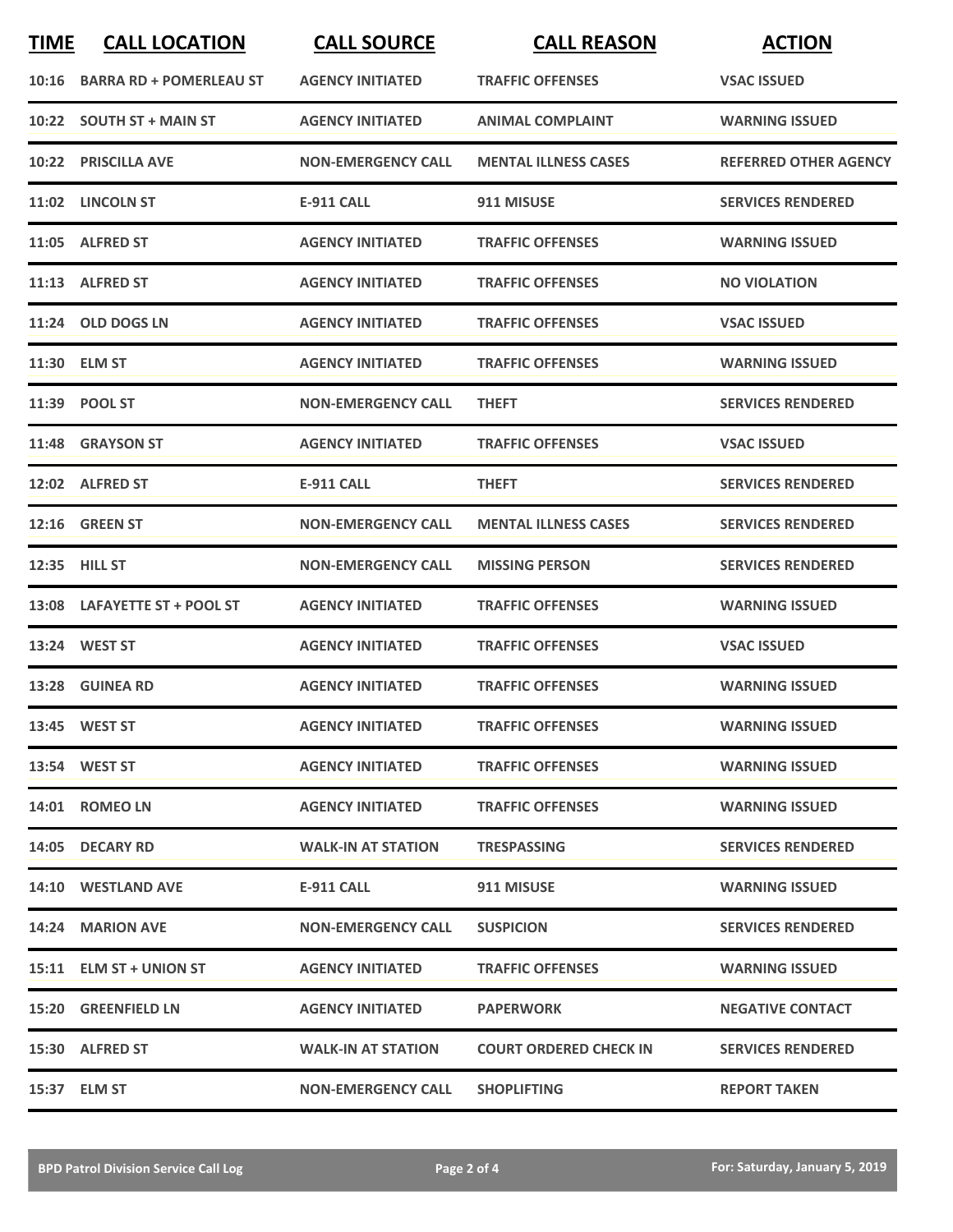| <b>TIME</b> | <b>CALL LOCATION</b>          | <b>CALL SOURCE</b>        | <b>CALL REASON</b>            | <b>ACTION</b>                |
|-------------|-------------------------------|---------------------------|-------------------------------|------------------------------|
|             | 10:16 BARRA RD + POMERLEAU ST | <b>AGENCY INITIATED</b>   | <b>TRAFFIC OFFENSES</b>       | <b>VSAC ISSUED</b>           |
|             | 10:22 SOUTH ST + MAIN ST      | <b>AGENCY INITIATED</b>   | <b>ANIMAL COMPLAINT</b>       | <b>WARNING ISSUED</b>        |
|             | 10:22 PRISCILLA AVE           | <b>NON-EMERGENCY CALL</b> | <b>MENTAL ILLNESS CASES</b>   | <b>REFERRED OTHER AGENCY</b> |
|             | 11:02 LINCOLN ST              | <b>E-911 CALL</b>         | 911 MISUSE                    | <b>SERVICES RENDERED</b>     |
|             | 11:05 ALFRED ST               | <b>AGENCY INITIATED</b>   | <b>TRAFFIC OFFENSES</b>       | <b>WARNING ISSUED</b>        |
|             | 11:13 ALFRED ST               | <b>AGENCY INITIATED</b>   | <b>TRAFFIC OFFENSES</b>       | <b>NO VIOLATION</b>          |
|             | 11:24 OLD DOGS LN             | <b>AGENCY INITIATED</b>   | <b>TRAFFIC OFFENSES</b>       | <b>VSAC ISSUED</b>           |
|             | 11:30 ELM ST                  | <b>AGENCY INITIATED</b>   | <b>TRAFFIC OFFENSES</b>       | <b>WARNING ISSUED</b>        |
|             | 11:39 POOL ST                 | <b>NON-EMERGENCY CALL</b> | <b>THEFT</b>                  | <b>SERVICES RENDERED</b>     |
|             | 11:48 GRAYSON ST              | <b>AGENCY INITIATED</b>   | <b>TRAFFIC OFFENSES</b>       | <b>VSAC ISSUED</b>           |
|             | 12:02 ALFRED ST               | <b>E-911 CALL</b>         | <b>THEFT</b>                  | <b>SERVICES RENDERED</b>     |
|             | 12:16 GREEN ST                | <b>NON-EMERGENCY CALL</b> | <b>MENTAL ILLNESS CASES</b>   | <b>SERVICES RENDERED</b>     |
|             | 12:35 HILL ST                 | <b>NON-EMERGENCY CALL</b> | <b>MISSING PERSON</b>         | <b>SERVICES RENDERED</b>     |
|             | 13:08 LAFAYETTE ST + POOL ST  | <b>AGENCY INITIATED</b>   | <b>TRAFFIC OFFENSES</b>       | <b>WARNING ISSUED</b>        |
|             | 13:24 WEST ST                 | <b>AGENCY INITIATED</b>   | <b>TRAFFIC OFFENSES</b>       | <b>VSAC ISSUED</b>           |
|             | 13:28 GUINEA RD               | <b>AGENCY INITIATED</b>   | <b>TRAFFIC OFFENSES</b>       | <b>WARNING ISSUED</b>        |
|             | 13:45 WEST ST                 | <b>AGENCY INITIATED</b>   | <b>TRAFFIC OFFENSES</b>       | <b>WARNING ISSUED</b>        |
|             | 13:54 WEST ST                 | <b>AGENCY INITIATED</b>   | <b>TRAFFIC OFFENSES</b>       | <b>WARNING ISSUED</b>        |
|             | 14:01 ROMEO LN                | <b>AGENCY INITIATED</b>   | <b>TRAFFIC OFFENSES</b>       | <b>WARNING ISSUED</b>        |
|             | 14:05 DECARY RD               | <b>WALK-IN AT STATION</b> | <b>TRESPASSING</b>            | <b>SERVICES RENDERED</b>     |
|             | 14:10 WESTLAND AVE            | E-911 CALL                | 911 MISUSE                    | <b>WARNING ISSUED</b>        |
|             | 14:24 MARION AVE              | <b>NON-EMERGENCY CALL</b> | <b>SUSPICION</b>              | <b>SERVICES RENDERED</b>     |
|             | 15:11 ELM ST + UNION ST       | <b>AGENCY INITIATED</b>   | <b>TRAFFIC OFFENSES</b>       | <b>WARNING ISSUED</b>        |
|             | 15:20 GREENFIELD LN           | <b>AGENCY INITIATED</b>   | <b>PAPERWORK</b>              | <b>NEGATIVE CONTACT</b>      |
|             | 15:30 ALFRED ST               | <b>WALK-IN AT STATION</b> | <b>COURT ORDERED CHECK IN</b> | <b>SERVICES RENDERED</b>     |
|             | 15:37 ELM ST                  | <b>NON-EMERGENCY CALL</b> | <b>SHOPLIFTING</b>            | <b>REPORT TAKEN</b>          |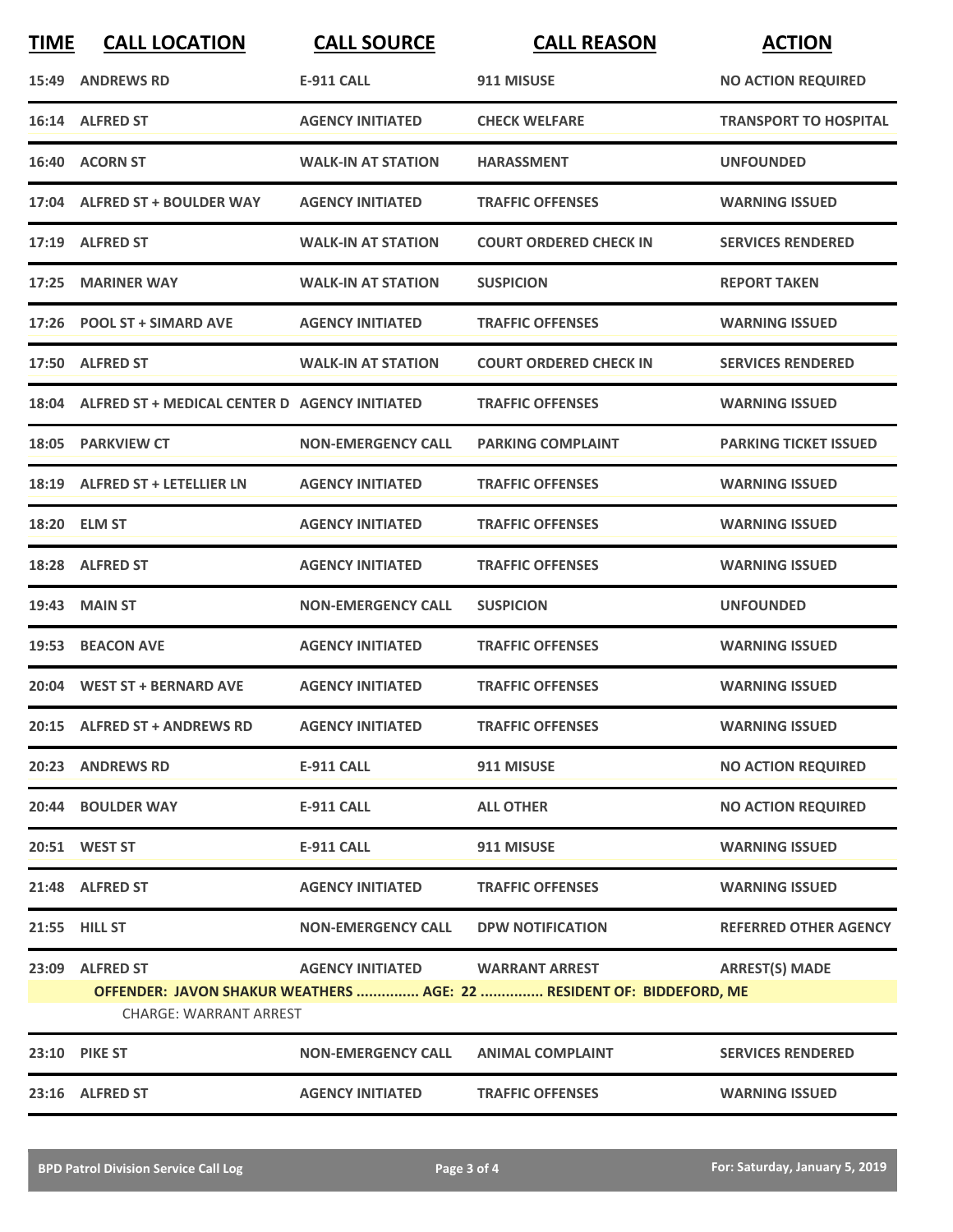| <b>TIME</b> | <b>CALL LOCATION</b>                                | <b>CALL SOURCE</b>        | <b>CALL REASON</b>                                                   | <b>ACTION</b>                |
|-------------|-----------------------------------------------------|---------------------------|----------------------------------------------------------------------|------------------------------|
|             | 15:49 ANDREWS RD                                    | <b>E-911 CALL</b>         | 911 MISUSE                                                           | <b>NO ACTION REQUIRED</b>    |
|             | 16:14 ALFRED ST                                     | <b>AGENCY INITIATED</b>   | <b>CHECK WELFARE</b>                                                 | <b>TRANSPORT TO HOSPITAL</b> |
|             | 16:40 ACORN ST                                      | <b>WALK-IN AT STATION</b> | <b>HARASSMENT</b>                                                    | <b>UNFOUNDED</b>             |
|             | 17:04 ALFRED ST + BOULDER WAY                       | <b>AGENCY INITIATED</b>   | <b>TRAFFIC OFFENSES</b>                                              | <b>WARNING ISSUED</b>        |
|             | 17:19 ALFRED ST                                     | <b>WALK-IN AT STATION</b> | <b>COURT ORDERED CHECK IN</b>                                        | <b>SERVICES RENDERED</b>     |
|             | 17:25 MARINER WAY                                   | <b>WALK-IN AT STATION</b> | <b>SUSPICION</b>                                                     | <b>REPORT TAKEN</b>          |
|             | 17:26 POOL ST + SIMARD AVE                          | <b>AGENCY INITIATED</b>   | <b>TRAFFIC OFFENSES</b>                                              | <b>WARNING ISSUED</b>        |
|             | 17:50 ALFRED ST                                     | <b>WALK-IN AT STATION</b> | <b>COURT ORDERED CHECK IN</b>                                        | <b>SERVICES RENDERED</b>     |
|             | 18:04 ALFRED ST + MEDICAL CENTER D AGENCY INITIATED |                           | <b>TRAFFIC OFFENSES</b>                                              | <b>WARNING ISSUED</b>        |
| 18:05       | <b>PARKVIEW CT</b>                                  | <b>NON-EMERGENCY CALL</b> | <b>PARKING COMPLAINT</b>                                             | <b>PARKING TICKET ISSUED</b> |
|             | 18:19 ALFRED ST + LETELLIER LN                      | <b>AGENCY INITIATED</b>   | <b>TRAFFIC OFFENSES</b>                                              | <b>WARNING ISSUED</b>        |
|             | 18:20 ELM ST                                        | <b>AGENCY INITIATED</b>   | <b>TRAFFIC OFFENSES</b>                                              | <b>WARNING ISSUED</b>        |
|             | 18:28 ALFRED ST                                     | <b>AGENCY INITIATED</b>   | <b>TRAFFIC OFFENSES</b>                                              | <b>WARNING ISSUED</b>        |
| 19:43       | <b>MAIN ST</b>                                      | <b>NON-EMERGENCY CALL</b> | <b>SUSPICION</b>                                                     | <b>UNFOUNDED</b>             |
|             | 19:53 BEACON AVE                                    | <b>AGENCY INITIATED</b>   | <b>TRAFFIC OFFENSES</b>                                              | <b>WARNING ISSUED</b>        |
|             | 20:04 WEST ST + BERNARD AVE                         | <b>AGENCY INITIATED</b>   | <b>TRAFFIC OFFENSES</b>                                              | <b>WARNING ISSUED</b>        |
|             | 20:15 ALFRED ST + ANDREWS RD                        | <b>AGENCY INITIATED</b>   | <b>TRAFFIC OFFENSES</b>                                              | <b>WARNING ISSUED</b>        |
|             | 20:23 ANDREWS RD                                    | <b>E-911 CALL</b>         | 911 MISUSE                                                           | <b>NO ACTION REQUIRED</b>    |
|             | 20:44 BOULDER WAY                                   | <b>E-911 CALL</b>         | <b>ALL OTHER</b>                                                     | <b>NO ACTION REQUIRED</b>    |
|             | 20:51 WEST ST                                       | E-911 CALL                | 911 MISUSE                                                           | <b>WARNING ISSUED</b>        |
|             | 21:48 ALFRED ST                                     | <b>AGENCY INITIATED</b>   | <b>TRAFFIC OFFENSES</b>                                              | <b>WARNING ISSUED</b>        |
|             | 21:55 HILL ST                                       | <b>NON-EMERGENCY CALL</b> | <b>DPW NOTIFICATION</b>                                              | <b>REFERRED OTHER AGENCY</b> |
|             | 23:09 ALFRED ST                                     | <b>AGENCY INITIATED</b>   | <b>WARRANT ARREST</b>                                                | <b>ARREST(S) MADE</b>        |
|             | <b>CHARGE: WARRANT ARREST</b>                       |                           | OFFENDER: JAVON SHAKUR WEATHERS  AGE: 22  RESIDENT OF: BIDDEFORD, ME |                              |
|             | <b>23:10 PIKE ST</b>                                | <b>NON-EMERGENCY CALL</b> | <b>ANIMAL COMPLAINT</b>                                              | <b>SERVICES RENDERED</b>     |
|             | 23:16 ALFRED ST                                     | <b>AGENCY INITIATED</b>   | <b>TRAFFIC OFFENSES</b>                                              | <b>WARNING ISSUED</b>        |